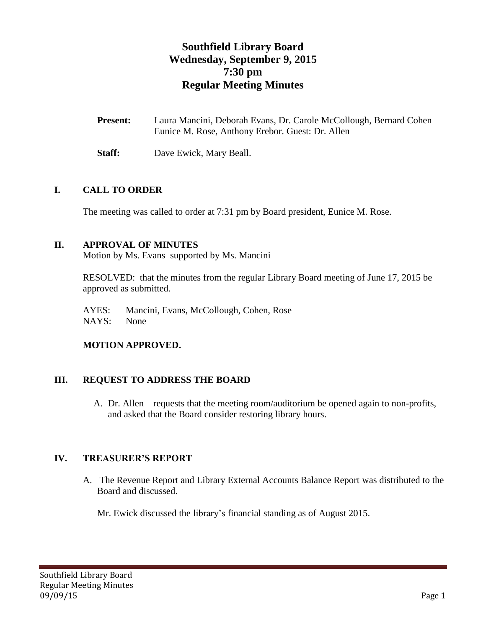# **Southfield Library Board Wednesday, September 9, 2015 7:30 pm Regular Meeting Minutes**

| <b>Present:</b> | Laura Mancini, Deborah Evans, Dr. Carole McCollough, Bernard Cohen |
|-----------------|--------------------------------------------------------------------|
|                 | Eunice M. Rose, Anthony Erebor. Guest: Dr. Allen                   |

**Staff:** Dave Ewick, Mary Beall.

#### **I. CALL TO ORDER**

The meeting was called to order at 7:31 pm by Board president, Eunice M. Rose.

# **II. APPROVAL OF MINUTES**

Motion by Ms. Evans supported by Ms. Mancini

RESOLVED: that the minutes from the regular Library Board meeting of June 17, 2015 be approved as submitted.

AYES: Mancini, Evans, McCollough, Cohen, Rose NAYS: None

#### **MOTION APPROVED.**

#### **III. REQUEST TO ADDRESS THE BOARD**

A. Dr. Allen – requests that the meeting room/auditorium be opened again to non-profits, and asked that the Board consider restoring library hours.

#### **IV. TREASURER'S REPORT**

A. The Revenue Report and Library External Accounts Balance Report was distributed to the Board and discussed.

Mr. Ewick discussed the library's financial standing as of August 2015.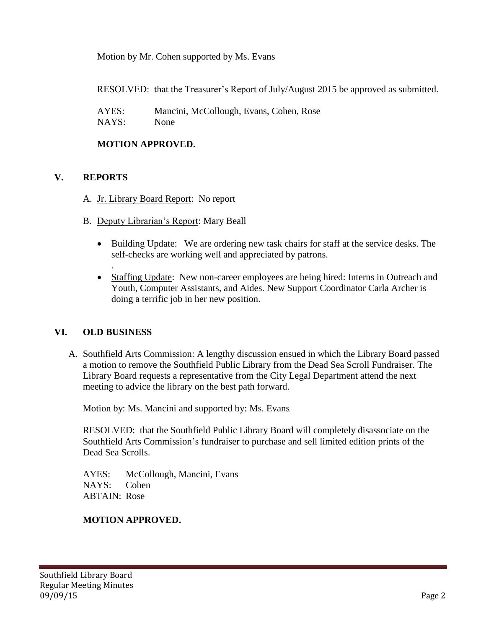Motion by Mr. Cohen supported by Ms. Evans

RESOLVED: that the Treasurer's Report of July/August 2015 be approved as submitted.

AYES: Mancini, McCollough, Evans, Cohen, Rose NAYS: None

## **MOTION APPROVED.**

# **V. REPORTS**

- A. Jr. Library Board Report: No report
- B. Deputy Librarian's Report: Mary Beall
	- Building Update: We are ordering new task chairs for staff at the service desks. The self-checks are working well and appreciated by patrons.
	- Staffing Update: New non-career employees are being hired: Interns in Outreach and Youth, Computer Assistants, and Aides. New Support Coordinator Carla Archer is doing a terrific job in her new position.

#### **VI. OLD BUSINESS**

.

A. Southfield Arts Commission: A lengthy discussion ensued in which the Library Board passed a motion to remove the Southfield Public Library from the Dead Sea Scroll Fundraiser. The Library Board requests a representative from the City Legal Department attend the next meeting to advice the library on the best path forward.

Motion by: Ms. Mancini and supported by: Ms. Evans

RESOLVED: that the Southfield Public Library Board will completely disassociate on the Southfield Arts Commission's fundraiser to purchase and sell limited edition prints of the Dead Sea Scrolls.

AYES: McCollough, Mancini, Evans NAYS: Cohen ABTAIN: Rose

# **MOTION APPROVED.**